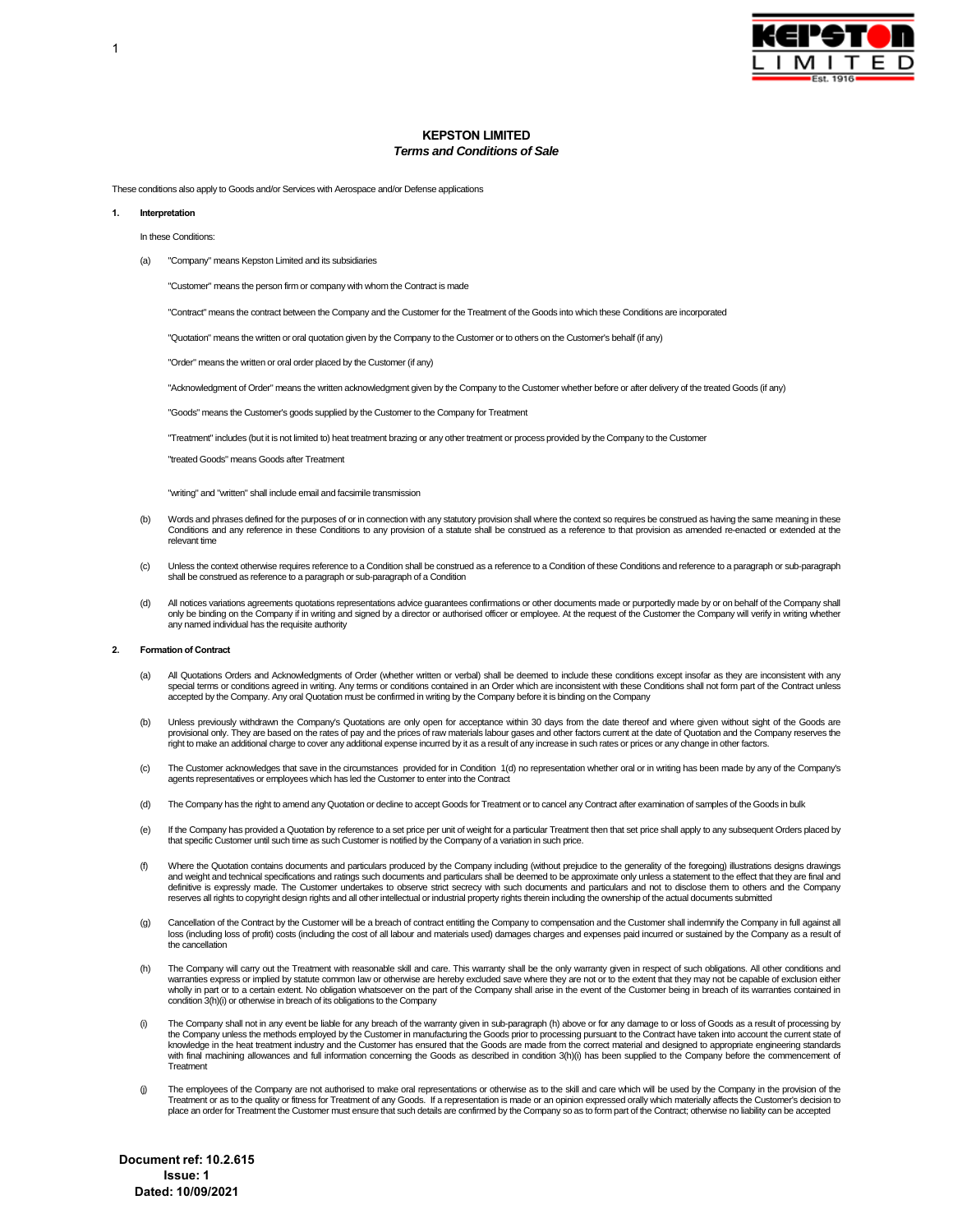

# **KEPSTON LIMITED**  *Terms and Conditions of Sale*

These conditions also apply to Goods and/or Services with Aerospace and/or Defense applications

#### **1. Interpretation**

#### In these Conditions:

(a) "Company" means Kepston Limited and its subsidiaries

"Customer" means the person firm or company with whom the Contract is made

"Contract" means the contract between the Company and the Customer for the Treatment of the Goods into which these Conditions are incorporated

"Quotation" means the written or oral quotation given by the Company to the Customer or to others on the Customer's behalf (if any)

"Order" means the written or oral order placed by the Customer (if any)

"Acknowledgment of Order" means the written acknowledgment given by the Company to the Customer whether before or after delivery of the treated Goods (if any)

"Goods" means the Customer's goods supplied by the Customer to the Company for Treatment

"Treatment" includes (but it is not limited to) heat treatment brazing or any other treatment or process provided by the Company to the Customer

"treated Goods" means Goods after Treatment

"writing" and "written" shall include email and facsimile transmission

- (b) Words and phrases defined for the purposes of or in connection with any statutory provision shall where the context so requires be construed as having the same meaning in these<br>Conditions and any reference in these Con relevant time
- (c) Unless the context otherwise requires reference to a Condition shall be construed as a reference to a Condition of these Conditions and reference to a paragraph or sub-paragraph shall be construed as reference to a paragraph or sub-paragraph of a Condition
- All notices variations agreements quotations representations advice guarantees confirmations or other documents made or purportedly made by or on behalf of the Company shall only be binding on the Company if in writing and signed by a director or authorised officer or employee. At the request of the Customer the Company will verify in writing whether<br>any named individual has the requisite auth

#### **2. Formation of Contract**

- (a) All Quotations Orders and Acknowledgments of Order (whether written or verbal) shall be deemed to include these conditions except insofar as they are inconsistent with any special terms or conditions agreed in writing. Any terms or conditions contained in an Order which are inconsistent with these Conditions shall not form part of the Contract unless accepted by the Company. Any oral Quotation must be confirmed in writing by the Company before it is binding on the Company
- (b) Unless previously withdrawn the Company's Quotations are only open for acceptance within 30 days from the date thereof and where given without sight of the Goods are provisional only. They are based on the rates of pay and the prices of raw materials labour gases and other factors current at the date of Quotation and the Company reserves the<br>right to make an additional charge to cover
- (c) The Customer acknowledges that save in the circumstances provided for in Condition 1(d) no representation whether oral or in writing has been made by any of the Company's agents representatives or employees which has led the Customer to enter into the Contract
- (d) The Company has the right to amend any Quotation or decline to accept Goods for Treatment or to cancel any Contract after examination of samples of the Goods in bulk
- (e) If the Company has provided a Quotation by reference to a set price per unit of weight for a particular Treatment then that set price shall apply to any subsequent Orders placed by that specific Customer until such time as such Customer is notified by the Company of a variation in such price.
- (f) Where the Quotation contains documents and particulars produced by the Company including (without prejudice to the generality of the foregoing) illustrations designs drawings and weight and technical specifications and ratings such documents and particulars shall be deemed to be approximate only unless a statement to the effect that they are final and definitive is expressly made. The Customer undertakes to observe strict secrecy with such documents and particulars and not to disclose them to others and the Company reserves all rights to copyright design rights and all other intellectual or industrial property rights therein including the ownership of the actual documents submitted
- (g) Cancellation of the Contract by the Customer will be a breach of contract entitling the Company to compensation and the Customer shall indemnify the Company in full against all loss (including loss of profit) costs (including the cost of all labour and materials used) damages charges and expenses paid incurred or sustained by the Company as a result of the cancellation
- (h) The Company will carry out the Treatment with reasonable skill and care. This warranty shall be the only warranty given in respect of such obligations. All other conditions and warranties express or implied by statute common law or otherwise are hereby excluded save where they are not or to the extent that they may not be capable of exclusion either<br>wholly in part or to a certain extent. No oblig condition 3(h)(i) or otherwise in breach of its obligations to the Company
- (i) The Company shall not in any event be liable for any breach of the warranty given in sub-paragraph (h) above or for any damage to or loss of Goods as a result of processing by the Company unless the methods employed by the Customer in manufacturing the Goods prior to processing pursuant to the Contract have taken into account the current state of knowledge in the heat treatment industry and the Customer has ensured that the Goods are made from the correct material and designed to appropriate engineering standards with final machining allowances and full information concerning the Goods as described in condition 3(h)(i) has been supplied to the Company before the commencement of Treatment
- (j) The employees of the Company are not authorised to make oral representations or otherwise as to the skill and care which will be used by the Company in the provision of the Treatment or as to the quality or fitness for Treatment of any Goods. If a representation is made or an opinion expressed orally which materially affects the Customer's decision to place an order for Treatment the Customer must ensure that such details are confirmed by the Company so as to form part of the Contract; otherwise no liability can be accepted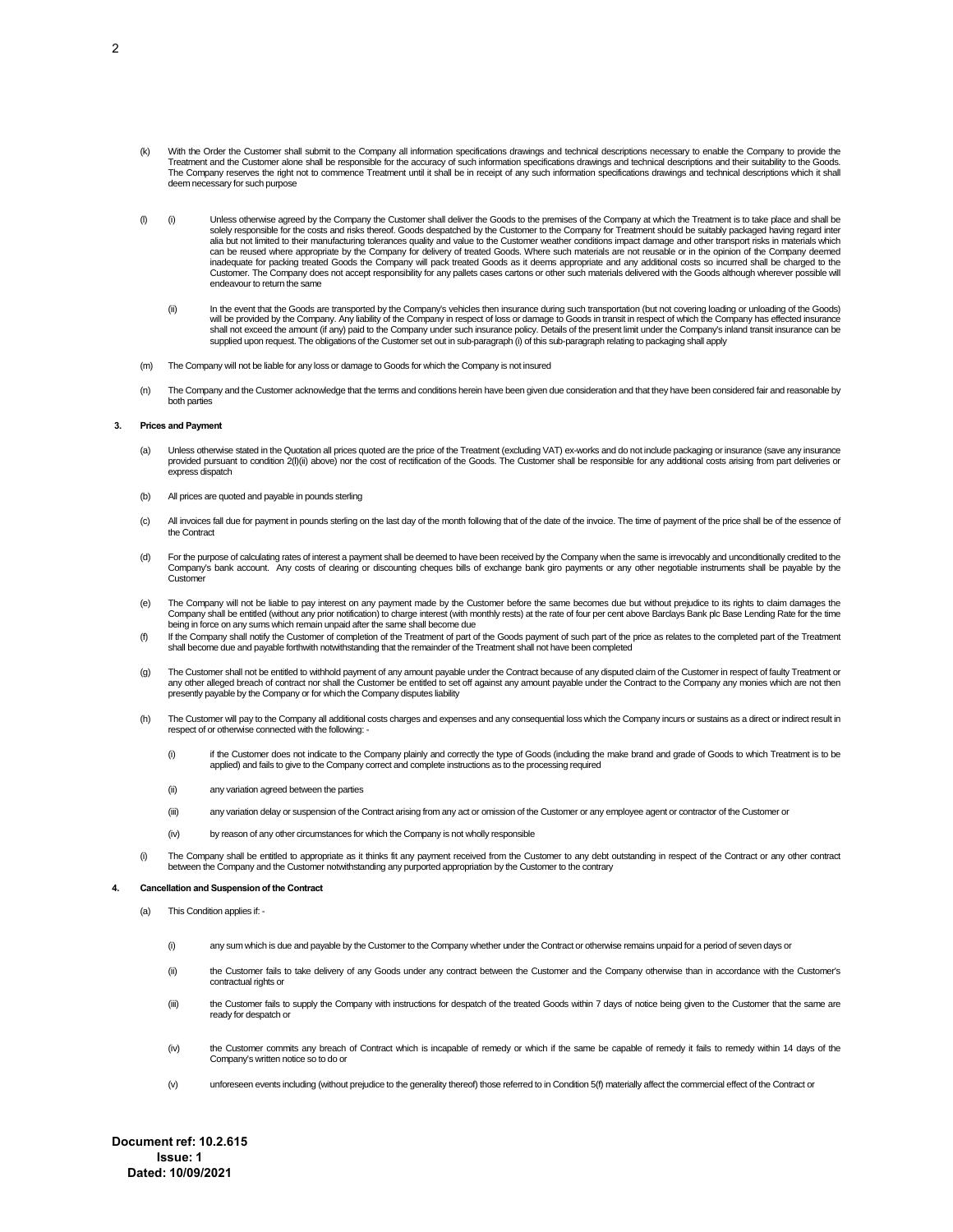- With the Order the Customer shall submit to the Company all information specifications drawings and technical descriptions necessary to enable the Company to provide the Treatment and the Customer alone shall be responsible for the accuracy of such information specifications drawings and technical descriptions and their suitability to the Goods.<br>The Company reserves the right not to commen deem necessary for such purpose
- (i) Unless otherwise agreed by the Company the Customer shall deliver the Goods to the premises of the Company at which the Treatment is to take place and shall be solely responsible for the costs and risks thereof. Goods despatched by the Customer to the Company for Treatment should be suitably packaged having regard inter alia but not limited to their manufacturing tolerances quality and value to the Customer weather conditions impact damage and other transport risks in materials which can be reused where appropriate by the Company for delivery of treated Goods. Where such materials are not reusable or in the opinion of the Company deemed inadequate for packing treated Goods the Company will pack treated Goods as it deems appropriate and any additional costs so incurred shall be charged to the Customer. The Company does not accept responsibility for any pallets cases cartons or other such materials delivered with the Goods although wherever possible will endeavour to return the same
	- (ii) In the event that the Goods are transported by the Company's vehicles then insurance during such transportation (but not covering loading or unloading of the Goods) will be provided by the Company. Any liability of the Company in respect of loss or damage to Goods in transit in respect of which the Company has effected insurance shall not exceed the amount (if any) paid to the Company under such insurance policy. Details of the present limit under the Company's inland transit insurance can be<br>supplied upon request. The obligations of the Customer
- (m) The Company will not be liable for any loss or damage to Goods for which the Company is not insured
- (n) The Company and the Customer acknowledge that the terms and conditions herein have been given due consideration and that they have been considered fair and reasonable by both parties

### **3. Prices and Payment**

- a) Unless otherwise stated in the Quotation all prices quoted are the price of the Treatment (excluding VAT) ex-works and do not include packaging or insurance (save any insurance<br>provided pursuant to condition 2(I)(ii) ab express dispatch
- (b) All prices are quoted and payable in pounds sterling
- (c) All invoices fall due for payment in pounds sterling on the last day of the month following that of the date of the invoice. The time of payment of the price shall be of the essence of the Contract
- (d) For the purpose of calculating rates of interest a payment shall be deemed to have been received by the Company when the same is irrevocably and unconditionally credited to the Company's bank account. Any costs of clearing or discounting cheques bills of exchange bank giro payments or any other negotiable instruments shall be payable by the Custome
- (e) The Company will not be liable to pay interest on any payment made by the Customer before the same becomes due but without prejudice to its rights to claim damages the Company shall be entitled (without any prior notification) to charge interest (with monthly rests) at the rate of four per cent above Barclays Bank plc Base Lending Rate for the time being in force on any sums which remain unpaid after the same shall become due
- (f) If the Company shall notify the Customer of completion of the Treatment of part of the Goods payment of such part of the price as relates to the completed part of the Treatment shall become due and payable forthwith notwithstanding that the remainder of the Treatment shall not have been completed
- (g) The Customer shall not be entitled to withhold payment of any amount payable under the Contract because of any disputed claim of the Customer in respect of faulty Treatment or<br>any other alleged breach of contract nor s presently payable by the Company or for which the Company disputes liability
- (h) The Customer will pay to the Company all additional costs charges and expenses and any consequential loss which the Company incurs or sustains as a direct or indirect result in respect of or otherwise connected with the following: -
	- (i) if the Customer does not indicate to the Company plainly and correctly the type of Goods (including the make brand and grade of Goods to which Treatment is to be<br>applied) and fails to give to the Company correct and co
	- (ii) any variation agreed between the parties
	- (iii) any variation delay or suspension of the Contract arising from any act or omission of the Customer or any employee agent or contractor of the Customer or
	- (iv) by reason of any other circumstances for which the Company is not wholly responsible
- (i) The Company shall be entitled to appropriate as it thinks fit any payment received from the Customer to any debt outstanding in respect of the Contract or any other contract<br>between the Company and the Customer notwith

# **4. Cancellation and Suspension of the Contract**

- (a) This Condition applies if:
	- (i) any sum which is due and payable by the Customer to the Company whether under the Contract or otherwise remains unpaid for a period of seven days or
	- (ii) the Customer fails to take delivery of any Goods under any contract between the Customer and the Company otherwise than in accordance with the Customer's contractual rights or
	- (iii) the Customer fails to supply the Company with instructions for despatch of the treated Goods within 7 days of notice being given to the Customer that the same are ready for despatch or
	- (iv) the Customer commits any breach of Contract which is incapable of remedy or which if the same be capable of remedy it fails to remedy within 14 days of the Company's written notice so to do or
	- (v) unforeseen events including (without prejudice to the generality thereof) those referred to in Condition 5(f) materially affect the commercial effect of the Contract or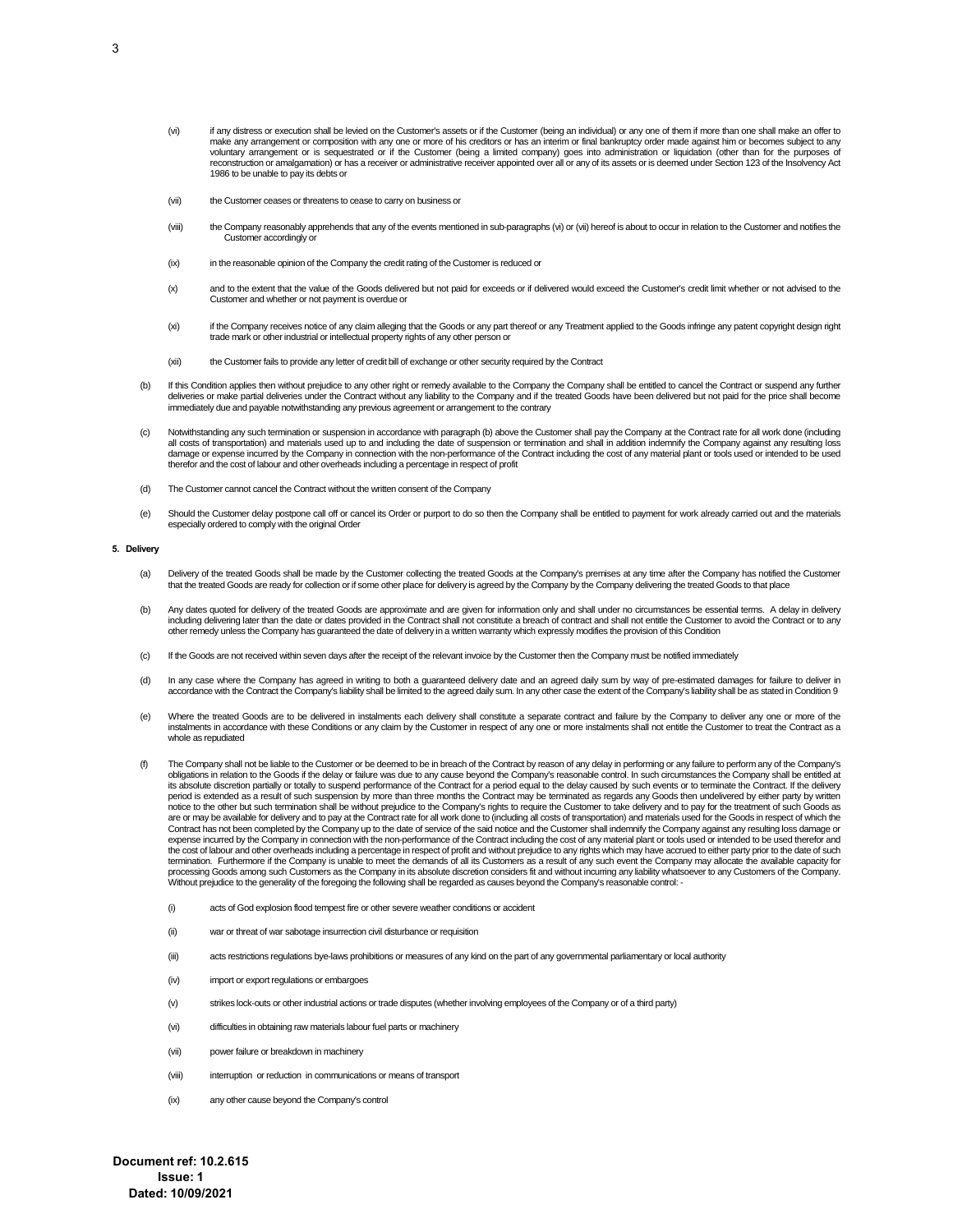- (vi) if any distress or execution shall be levied on the Customer's assets or if the Customer (being an individual) or any one of them if more than one shall make an offer to make any arrangement or composition with any one or more of his creditors or has an interim or final bankruptcy order made against him or becomes subject to any<br>voluntary arrangement or is sequestrated or if the Customer ( reconstruction or amalgamation) or has a receiver or administrative receiver appointed over all or any of its assets or is deemed under Section 123 of the Insolvency Act 1986 to be unable to pay its debts or
- (vii) the Customer ceases or threatens to cease to carry on business or
- (viii) the Company reasonably apprehends that any of the events mentioned in sub-paragraphs (vi) or (vii) hereof is about to occur in relation to the Customer and notifies the Customer accordingly or
- (ix) in the reasonable opinion of the Company the credit rating of the Customer is reduced or
- (x) and to the extent that the value of the Goods delivered but not paid for exceeds or if delivered would exceed the Customer's credit limit whether or not advised to the Customer and whether or not payment is overdue or
- (xi) if the Company receives notice of any claim alleging that the Goods or any part thereof or any Treatment applied to the Goods infringe any patent copyright design right trade mark or other industrial or intellectual property rights of any other person or
- (xii) the Customer fails to provide any letter of credit bill of exchange or other security required by the Contract
- (b) If this Condition applies then without prejudice to any other right or remedy available to the Company the Company shall be entitled to cancel the Contract or suspend any further deliveries or make partial deliveries under the Contract without any liability to the Company and if the treated Goods have been delivered but not paid for the price shall become immediately due and payable notwithstanding any previous agreement or arrangement to the contrary
- (c) Notwithstanding any such termination or suspension in accordance with paragraph (b) above the Customer shall pay the Company at the Contract rate for all work done (including all costs of transportation) and materials used up to and including the date of suspension or termination and shall in addition indemnify the Company against any resulting loss damage or expense incurred by the Company in connection with the non-performance of the Contract including the cost of any material plant or tools used or intended to be used<br>therefor and the cost of labour and other overh
- (d) The Customer cannot cancel the Contract without the written consent of the Company
- (e) Should the Customer delay postpone call off or cancel its Order or purport to do so then the Company shall be entitled to payment for work already carried out and the materials especially ordered to comply with the original Order

### **5. Delivery**

- (a) Delivery of the treated Goods shall be made by the Customer collecting the treated Goods at the Company's premises at any time after the Company has notified the Customer that the treated Goods are ready for collection or if some other place for delivery is agreed by the Company by the Company delivering the treated Goods to that place
- (b) Any dates quoted for delivery of the treated Goods are approximate and are given for information only and shall under no circumstances be essential terms. A delay in delivery including delivering later than the date or dates provided in the Contract shall not constitute a breach of contract and shall not entitle the Customer to avoid the Contract or to any other remedy unless the Company has guaranteed the date of delivery in a written warranty which expressly modifies the provision of this Condition
- (c) If the Goods are not received within seven days after the receipt of the relevant invoice by the Customer then the Company must be notified immediately
- d) In any case where the Company has agreed in writing to both a guaranteed delivery date and an agreed daily sum by way of pre-estimated damages for failure to deliver in<br>https://www.in.in.pupperdaily.sum.by way or the wa
- e) Where the treated Goods are to be delivered in instalments each delivery shall constitute a separate contract and failure by the Company to deliver any one or more of the<br>instalments in accordance with these Conditions whole as repudiated
- (f) The Company shall not be liable to the Customer or be deemed to be in breach of the Contract by reason of any delay in performing or any failure to perform any of the Company's obligations in relation to the Goods if the delay or failure was due to any cause beyond the Company's reasonable control. In such circumstances the Company shall be entitled at<br>its absolute discretion partially or totally period is extended as a result of such suspension by more than three months the Contract may be terminated as regards any Goods then undelivered by either party by written notice to the other but such termination shall be without prejudice to the Company's rights to require the Customer to take delivery and to pay for the treatment of such Goods as<br>are or may be available for delivery and to Contract has not been completed by the Company up to the date of service of the said notice and the Customer shall indemnify the Company against any resulting loss damage or expense incurred by the Company in connection with the non-performance of the Contract including the cost of any material plant or tools used or intended to be used therefor and the cost of labour and other overheads including a percentage in respect of profit and without prejudice to any rights which may have accrued to either party prior to the date of such termination. Furthermore if the Company is unable to meet the demands of all its Customers as a result of any such event the Company may allocate the available capacity for processing Goods among such Customers as the Company in its absolute discretion considers fit and without incurring any liability whatsoever to any Customers of the Company. Without prejudice to the generality of the foregoing the following shall be regarded as causes beyond the Company's reasonable control: -
	- (i) acts of God explosion flood tempest fire or other severe weather conditions or accident
	- (ii) war or threat of war sabotage insurrection civil disturbance or requisition
	- (iii) acts restrictions regulations bye-laws prohibitions or measures of any kind on the part of any governmental parliamentary or local authority
	- (iv) import or export regulations or embargoes
	- (v) strikes lock-outs or other industrial actions or trade disputes (whether involving employees of the Company or of a third party)
	- (vi) difficulties in obtaining raw materials labour fuel parts or machinery
	- (vii) power failure or breakdown in machinery
	- (viii) interruption or reduction in communications or means of transport
	- (ix) any other cause beyond the Company's control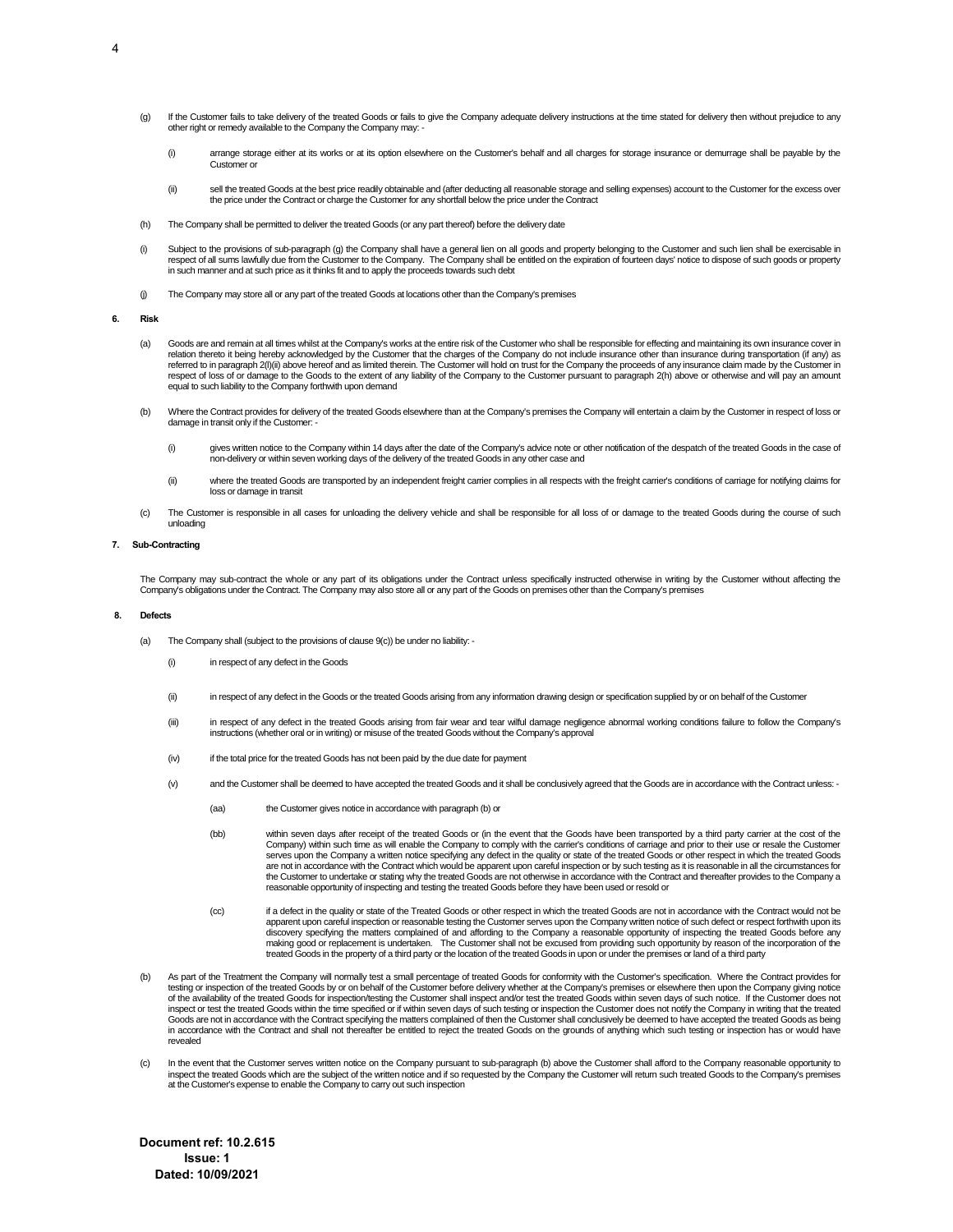- (a) If the Customer fails to take delivery of the treated Goods or fails to give the Company adequate delivery instructions at the time stated for delivery then without prejudice to any other right or remedy available to the Company the Company may: -
	- (i) arrange storage either at its works or at its option elsewhere on the Customer's behalf and all charges for storage insurance or demurrage shall be payable by the Customer or
	- (ii) sell the treated Goods at the best price readily obtainable and (after deducting all reasonable storage and selling expenses) account to the Customer for the excess over the price under the Contract or charge the Customer for any shortfall below the price under the Contract
- (h) The Company shall be permitted to deliver the treated Goods (or any part thereof) before the delivery date
- (i) Subject to the provisions of sub-paragraph (g) the Company shall have a general lien on all goods and property belonging to the Customer and such lien shall be exercisable in<br>respect of all sums lawfully due from the C in such manner and at such price as it thinks fit and to apply the proceeds towards such debt
- (j) The Company may store all or any part of the treated Goods at locations other than the Company's premises

### **6. Risk**

- (a) Goods are and remain at all times whilst at the Company's works at the entire risk of the Customer who shall be responsible for effecting and maintaining its own insurance cover in relation thereto it being hereby acknowledged by the Customer that the charges of the Company do not include insurance other than insurance during transportation (if any) as referred to in paragraph 2(I)(ii) above hereof and as limited therein. The Customer will hold on trust for the Company the proceeds of any insurance claim made by the Customer in respect of loss of or damage to the Goods to the extent of any liability of the Company to the Customer pursuant to paragraph 2(h) above or otherwise and will pay an amount<br>equal to such liability to the Company forthwith
- (b) Where the Contract provides for delivery of the treated Goods elsewhere than at the Company's premises the Company will entertain a claim by the Customer in respect of loss or damage in transit only if the Customer:
	- (i) gives written notice to the Company within 14 days after the date of the Company's advice note or other notification of the despatch of the treated Goods in the case of non-delivery or within seven working days of the delivery of the treated Goods in any other case and
	- (ii) where the treated Goods are transported by an independent freight carrier complies in all respects with the freight carrier's conditions of carriage for notifying claims for loss or damage in transit
- (c) The Customer is responsible in all cases for unloading the delivery vehicle and shall be responsible for all loss of or damage to the treated Goods during the course of such unloading

### **7. Sub-Contracting**

The Company may sub-contract the whole or any part of its obligations under the Contract unless specifically instructed otherwise in writing by the Customer without affecting the Company's obligations under the Contract. The Company may also store all or any part of the Goods on premises other than the Company's premises

### **8. Defects**

- (a) The Company shall (subject to the provisions of clause 9(c)) be under no liability:
	- (i) in respect of any defect in the Goods
	- (ii) in respect of any defect in the Goods or the treated Goods arising from any information drawing design or specification supplied by or on behalf of the Customer
	- (iii) in respect of any defect in the treated Goods arising from fair wear and tear wilful damage negligence abnormal working conditions failure to follow the Company's instructions (whether oral or in writing) or misuse of the treated Goods without the Company's approval
	- (iv) if the total price for the treated Goods has not been paid by the due date for payment
	- (v) and the Customer shall be deemed to have accepted the treated Goods and it shall be conclusively agreed that the Goods are in accordance with the Contract unless:
		- (aa) the Customer gives notice in accordance with paragraph (b) or
		- (bb) within seven days after receipt of the treated Goods or (in the event that the Goods have been transported by a third party carrier at the cost of the Company) within such time as will enable the Company to comply with the carrier's conditions of carriage and prior to their use or resale the Customer serves upon the Company a written notice specifying any defect in the quality or state of the treated Goods or other respect in which the treated Goods are not in accordance with the Contract which would be apparent upon careful inspection or by such testing as it is reasonable in all the circumstances for the Customer to undertake or stating why the treated Goods are not otherwise in accordance with the Contract and thereafter provides to the Company a reasonable opportunity of inspecting and testing the treated Goods before they have been used or resold or
		- (cc) if a defect in the quality or state of the Treated Goods or other respect in which the treated Goods are not in accordance with the Contract would not be apparent upon careful inspection or reasonable testing the Customer serves upon the Company written notice of such defect or respect forthwith upon its<br>discovery specifying the matters complained of and affording to the Co making good or replacement is undertaken. The Customer shall not be excused from providing such opportunity by reason of the incorporation of the treated Goods in the property of a third party or the location of the treated Goods in upon or under the premises or land of a third party
- (b) As part of the Treatment the Company will normally test a small percentage of treated Goods for conformity with the Customer's specification. Where the Contract provides for testing or inspection of the treated Goods by or on behalf of the Customer before delivery whether at the Company's premises or elsewhere then upon the Company giving notice of the availability of the treated Goods for inspection/testing the Customer shall inspect and/or test the treated Goods within seven days of such notice. If the Customer does not inspect or test the treated Goods within the time specified or if within seven days of such testing or inspection the Customer does not notify the Company in writing that the treated Goods are not in accordance with the Contract specifying the matters complained of then the Customer shall conclusively be deemed to have accepted the treated Goods as being in accordance with the Contract and shall not thereafter be entitled to reject the treated Goods on the grounds of anything which such testing or inspection has or would have revealed
- In the event that the Customer serves written notice on the Company pursuant to sub-paragraph (b) above the Customer shall afford to the Company reasonable opportunity to inspect the treated Goods which are the subject of the written notice and if so requested by the Company the Customer will return such treated Goods to the Company's premises at the Customer's expense to enable the Company to carry out such inspection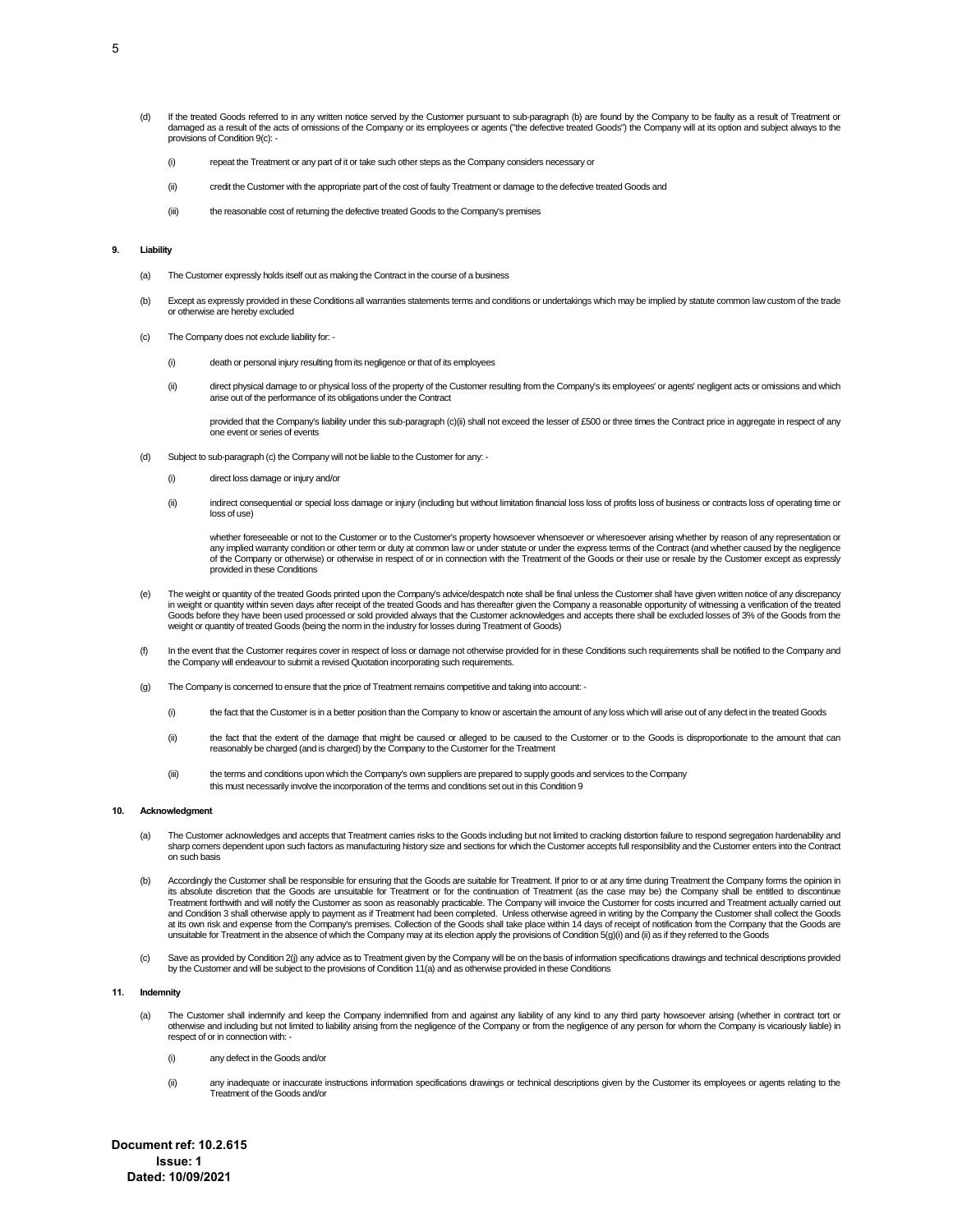- (d) If the treated Goods referred to in any written notice served by the Customer pursuant to sub-paragraph (b) are found by the Company to be faulty as a result of Treatment or damaged as a result of the acts of omissions of the Company or its employees or agents ("the defective treated Goods") the Company will at its option and subject always to the provisions of Condition 9(c):
	- (i) repeat the Treatment or any part of it or take such other steps as the Company considers necessary or
	- (ii) credit the Customer with the appropriate part of the cost of faulty Treatment or damage to the defective treated Goods and
	- (iii) the reasonable cost of returning the defective treated Goods to the Company's premises

## **9. Liability**

- (a) The Customer expressly holds itself out as making the Contract in the course of a business
- (b) Except as expressly provided in these Conditions all warranties statements terms and conditions or undertakings which may be implied by statute common law custom of the trade or otherwise are hereby excluded
- (c) The Company does not exclude liability for:
	- (i) death or personal injury resulting from its negligence or that of its employees
	- (ii) direct physical damage to or physical loss of the property of the Customer resulting from the Company's its employees' or agents' negligent acts or omissions and which arise out of the performance of its obligations under the Contract

provided that the Company's liability under this sub-paragraph (c)(ii) shall not exceed the lesser of £500 or three times the Contract price in aggregate in respect of any one event or series of events

- (d) Subject to sub-paragraph (c) the Company will not be liable to the Customer for any:
	- (i) direct loss damage or injury and/or
	- (ii) indirect consequential or special loss damage or injury (including but without limitation financial loss loss of profits loss of business or contracts loss of operating time or loss of use)

whether foreseeable or not to the Customer or to the Customer's property howsoever whensoever or wheresoever arising whether by reason of any representation or any implied warranty condition or other term or duty at common law or under statute or under the express terms of the Contract (and whether caused by the negligence of the Company or otherwise) or otherwise in respect of or in connection with the Treatment of the Goods or their use or resale by the Customer except as expressly provided in these Conditions

- (e) The weight or quantity of the treated Goods printed upon the Company's advice/despatch note shall be final unless the Customer shall have given written notice of any discrepancy in weight or quantity within seven days after receipt of the treated Goods and has thereafter given the Company a reasonable opportunity of witnessing a verification of the treated<br>Goods before they have been used processe weight or quantity of treated Goods (being the norm in the industry for losses during Treatment of Goods)
- (f) In the event that the Customer requires cover in respect of loss or damage not otherwise provided for in these Conditions such requirements shall be notified to the Company and<br>the Company will endeavour to submit a re
- (g) The Company is concerned to ensure that the price of Treatment remains competitive and taking into account:
	- (i) the fact that the Customer is in a better position than the Company to know or ascertain the amount of any loss which will arise out of any defect in the treated Goods
	- (ii) the fact that the extent of the damage that might be caused or alleged to be caused to the Customer or to the Goods is disproportionate to the amount that can reasonably be charged (and is charged) by the Company to the Customer for the Treatment
	- (iii) the terms and conditions upon which the Company's own suppliers are prepared to supply goods and services to the Company this must necessarily involve the incorporation of the terms and conditions set out in this Condition 9

#### **10. Acknowledgment**

- (a) The Customer acknowledges and accepts that Treatment carries risks to the Goods including but not limited to cracking distortion failure to respond segregation hardenability and sharp corners dependent upon such factors as manufacturing history size and sections for which the Customer accepts full responsibility and the Customer enters into the Contract on such basis
- b) Accordingly the Customer shall be responsible for ensuring that the Goods are suitable for Treatment. If prior to or at any time during Treatment the Company forms the opinion in<br>its absolute discretion that the Goods a Treatment forthwith and will notify the Customer as soon as reasonably practicable. The Company will invoice the Customer for costs incurred and Treatment actually carried out and Condition 3 shall otherwise apply to payment as if Treatment had been completed. Unless otherwise agreed in writing by the Company the Customer shall collect the Goods<br>at its own risk and expense from the Company's pre unsuitable for Treatment in the absence of which the Company may at its election apply the provisions of Condition 5(g)(i) and (ii) as if they referred to the Goods
- (c) Save as provided by Condition 2(j) any advice as to Treatment given by the Company will be on the basis of information specifications drawings and technical descriptions provided by the Customer and will be subject to the provisions of Condition 11(a) and as otherwise provided in these Conditions

#### **11. Indemnity**

- (a) The Customer shall indemnify and keep the Company indemnified from and against any liability of any kind to any third party howsoever arising (whether in contract tort or otherwise and including but not limited to liability arising from the negligence of the Company or from the negligence of any person for whom the Company is vicariously liable) in respect of or in connection with: -
	- (i) any defect in the Goods and/or
	- (ii) any inadequate or inaccurate instructions information specifications drawings or technical descriptions given by the Customer its employees or agents relating to the Treatment of the Goods and/or